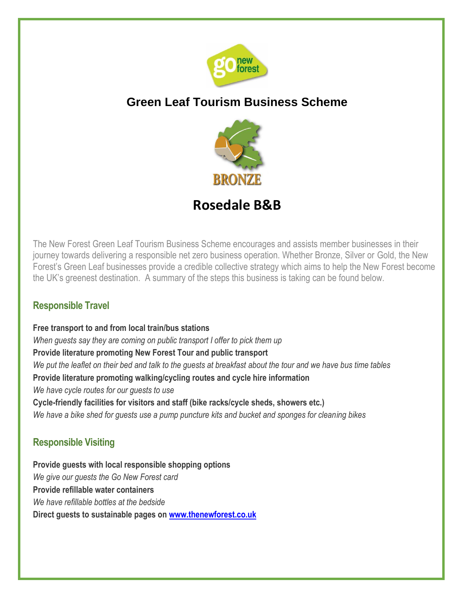

# **Green Leaf Tourism Business Scheme**



# **Rosedale B&B**

The New Forest Green Leaf Tourism Business Scheme encourages and assists member businesses in their journey towards delivering a responsible net zero business operation. Whether Bronze, Silver or Gold, the New Forest's Green Leaf businesses provide a credible collective strategy which aims to help the New Forest become the UK's greenest destination. A summary of the steps this business is taking can be found below.

### **Responsible Travel**

**Free transport to and from local train/bus stations** *When guests say they are coming on public transport I offer to pick them up* **Provide literature promoting New Forest Tour and public transport** *We put the leaflet on their bed and talk to the guests at breakfast about the tour and we have bus time tables* **Provide literature promoting walking/cycling routes and cycle hire information** *We have cycle routes for our guests to use* **Cycle-friendly facilities for visitors and staff (bike racks/cycle sheds, showers etc.)**  *We have a bike shed for guests use a pump puncture kits and bucket and sponges for cleaning bikes*

### **Responsible Visiting**

**Provide guests with local responsible shopping options**  *We give our guests the Go New Forest card* **Provide refillable water containers**  *We have refillable bottles at the bedside* **Direct guests to sustainable pages on [www.thenewforest.co.uk](http://www.thenewforest.co.uk/)**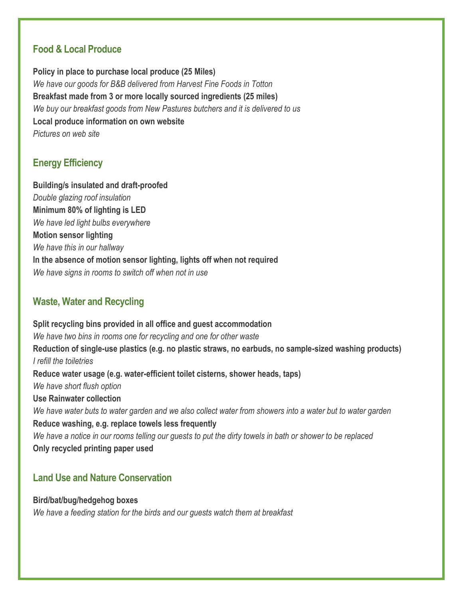#### **Food & Local Produce**

**Policy in place to purchase local produce (25 Miles)**  *We have our goods for B&B delivered from Harvest Fine Foods in Totton* **Breakfast made from 3 or more locally sourced ingredients (25 miles)** *We buy our breakfast goods from New Pastures butchers and it is delivered to us* **Local produce information on own website** *Pictures on web site*

### **Energy Efficiency**

**Building/s insulated and draft-proofed**  *Double glazing roof insulation* **Minimum 80% of lighting is LED**  *We have led light bulbs everywhere* **Motion sensor lighting** *We have this in our hallway* **In the absence of motion sensor lighting, lights off when not required** *We have signs in rooms to switch off when not in use*

#### **Waste, Water and Recycling**

**Split recycling bins provided in all office and guest accommodation** *We have two bins in rooms one for recycling and one for other waste* **Reduction of single-use plastics (e.g. no plastic straws, no earbuds, no sample-sized washing products)** *I refill the toiletries* **Reduce water usage (e.g. water-efficient toilet cisterns, shower heads, taps)** *We have short flush option* **Use Rainwater collection** *We have water buts to water garden and we also collect water from showers into a water but to water garden* **Reduce washing, e.g. replace towels less frequently** *We have a notice in our rooms telling our guests to put the dirty towels in bath or shower to be replaced* **Only recycled printing paper used** 

#### **Land Use and Nature Conservation**

**Bird/bat/bug/hedgehog boxes** *We have a feeding station for the birds and our guests watch them at breakfast*